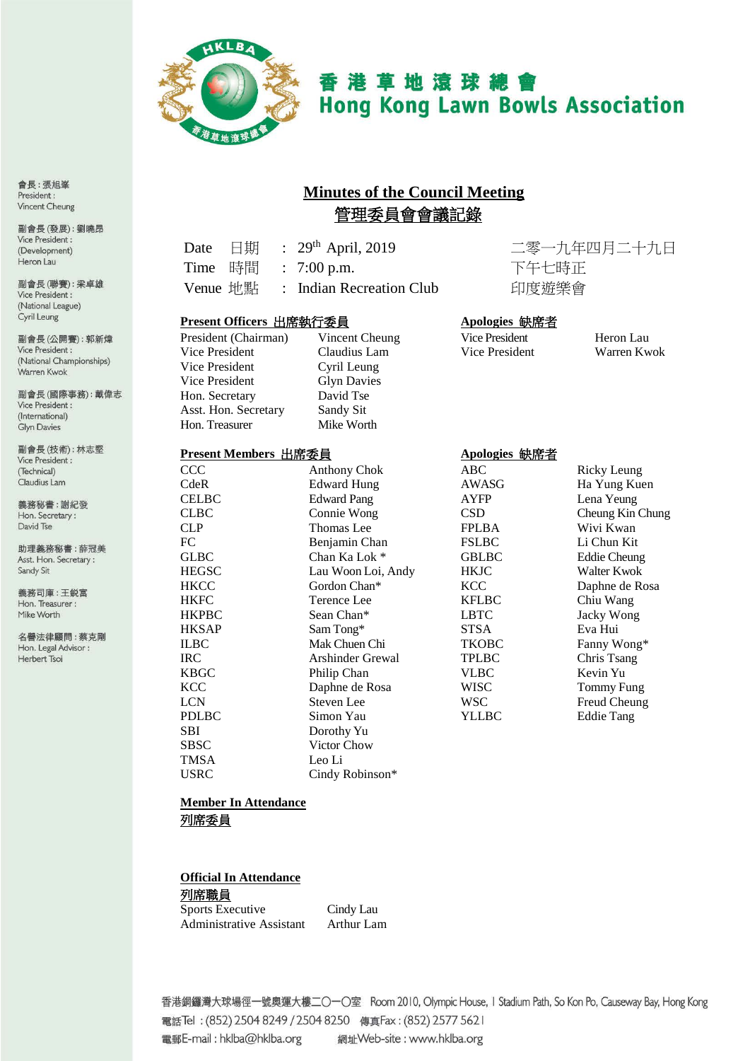

# 香港草地滾球總會 **Hong Kong Lawn Bowls Association**

# **Minutes of the Council Meeting** 管理委員會會議記錄

| Date $\quad \Box$ 期 |  | : $29^{th}$ April, 2019                            |
|---------------------|--|----------------------------------------------------|
| Time 時間             |  | $: 7:00 \text{ p.m.}$                              |
|                     |  | Venue $\mathbb{H}\mathbb{H}$ : Indian Recreation C |

二零一九年四月二十九日 下午七時正 'lub 印度遊樂會

#### **Present Officers** 出席執行委員 **Apologies** 缺席者

| President (Chairman) |
|----------------------|
| Vice President       |
| Vice President       |
| Vice President       |
| Hon. Secretary       |
| Asst. Hon. Secretary |
| Hon. Treasurer       |

#### Vincent Cheung Vice President Heron Lau<br>
Claudius Lam Vice President Warren Kwok Claudius Lam Cyril Leung Glyn Davies David Tse Sandy Sit Mike Worth

#### **Present Members** 出席委員 **Apologies** 缺席者

| политивно шл <del>уд</del> |                         | $\Delta$ pologics $\psi$ $\sqrt{ \pi \cdot E}$ |                     |
|----------------------------|-------------------------|------------------------------------------------|---------------------|
| $\rm{CCC}$                 | <b>Anthony Chok</b>     | ABC                                            | Ricky Leung         |
| CdeR                       | Edward Hung             | AWASG                                          | Ha Yung Kuen        |
| CELBC                      | <b>Edward Pang</b>      | <b>AYFP</b>                                    | Lena Yeung          |
| CLBC                       | Connie Wong             | <b>CSD</b>                                     | Cheung Kin Chung    |
| <b>CLP</b>                 | Thomas Lee              | <b>FPLBA</b>                                   | Wivi Kwan           |
| FC                         | Benjamin Chan           | <b>FSLBC</b>                                   | Li Chun Kit         |
| <b>GLBC</b>                | Chan Ka Lok *           | <b>GBLBC</b>                                   | <b>Eddie Cheung</b> |
| <b>HEGSC</b>               | Lau Woon Loi, Andy      | <b>HKJC</b>                                    | Walter Kwok         |
| HKCC                       | Gordon Chan*            | <b>KCC</b>                                     | Daphne de Rosa      |
| HKFC                       | Terence Lee             | <b>KFLBC</b>                                   | Chiu Wang           |
| HKPBC                      | Sean Chan*              | <b>LBTC</b>                                    | Jacky Wong          |
| HKSAP                      | Sam Tong*               | <b>STSA</b>                                    | Eva Hui             |
| ILBC                       | Mak Chuen Chi           | <b>TKOBC</b>                                   | Fanny Wong*         |
| IRC                        | <b>Arshinder Grewal</b> | <b>TPLBC</b>                                   | Chris Tsang         |
| KBGC                       | Philip Chan             | <b>VLBC</b>                                    | Kevin Yu            |
| KCC                        | Daphne de Rosa          | <b>WISC</b>                                    | Tommy Fung          |
| LCN                        | Steven Lee              | <b>WSC</b>                                     | Freud Cheung        |
| PDLBC                      | Simon Yau               | YLLBC                                          | Eddie Tang          |
| SBI                        | Dorothy Yu              |                                                |                     |
| SBSC                       | Victor Chow             |                                                |                     |
| TMSA                       | Leo Li                  |                                                |                     |
| USRC                       | Cindy Robinson*         |                                                |                     |

|                | Ricky Leung         |
|----------------|---------------------|
| ASG            | Ha Yung Kuen        |
| ŦР             | Lena Yeung          |
|                |                     |
|                | Cheung Kin Chung    |
| ВA             | Wivi Kwan           |
| ВC             | Li Chun Kit         |
| ЪC             | <b>Eddie Cheung</b> |
| $\overline{C}$ | Walter Kwok         |
| J              | Daphne de Rosa      |
| ВC             | Chiu Wang           |
| Ċ              | Jacky Wong          |
| A              | Eva Hui             |
| DВC            | Fanny Wong*         |
| ВC             | Chris Tsang         |
| зC             | Kevin Yu            |
| C              | <b>Tommy Fung</b>   |
| J              | Freud Cheung        |
| ВC             | Eddie Tang          |
|                |                     |

#### **Member In Attendance** 列席委員

## **Official In Attendance**

列席職員 Sports Executive Cindy Lau<br>Administrative Assistant Arthur Lam Administrative Assistant

香港銅鑼灣大球場徑一號奧運大樓二〇一〇室 Room 2010, Olympic House, I Stadium Path, So Kon Po, Causeway Bay, Hong Kong 電話Tel: (852) 2504 8249 / 2504 8250 傳真Fax: (852) 2577 5621 電郵E-mail: hklba@hklba.org 網址Web-site: www.hklba.org

會長:張旭峯 President: Vincent Cheung

副會長(發展):劉曉昂 Vice President: (Development) Heron Lau

副會長(聯賽):梁卓雄 Vice President: (National League) Cyril Leung

副會長(公開賽): 郭新煒 Vice President: (National Championships) Warren Kwok

副會長(國際事務):戴偉志 Vice President : (International) **Glyn Davies** 

副會長(技術):林志堅 Vice President : (Technical) Claudius Lam

義務秘書:謝紀發 Hon. Secretary: David Tse

助理義務秘書:薛冠美 Asst. Hon. Secretary: Sandy Sit

義務司庫:王鋭富 Hon. Treasurer : Mike Worth

名譽法律顧問:蔡克剛 Hon. Legal Advisor : Herbert Tsoi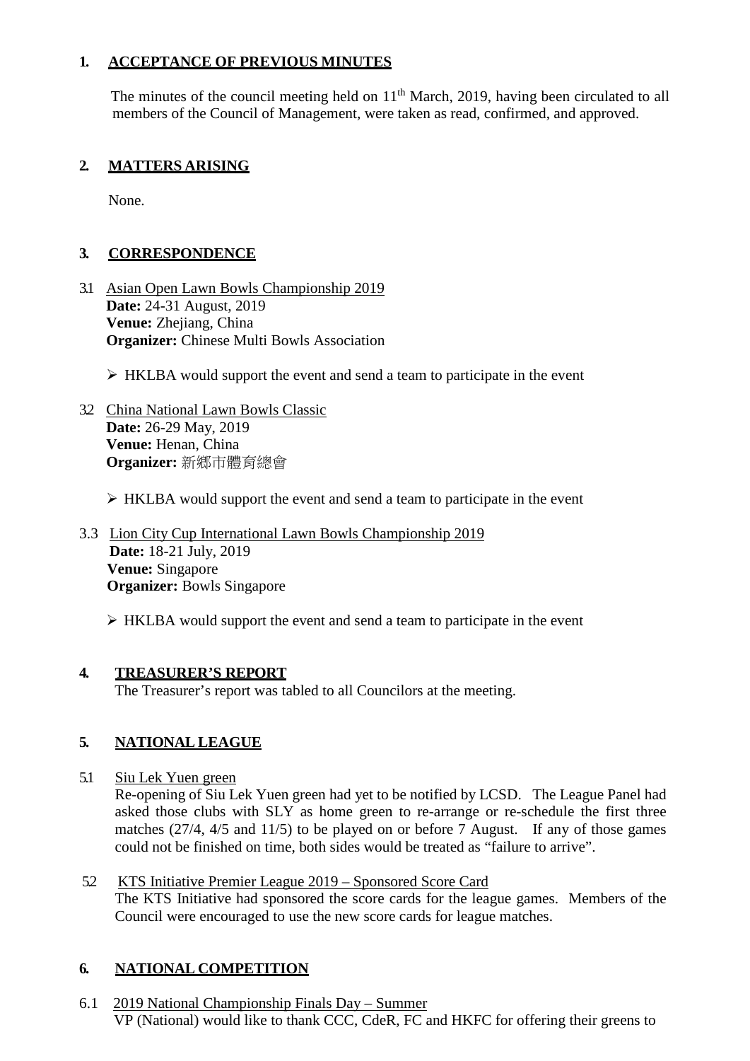### **1. ACCEPTANCE OF PREVIOUS MINUTES**

The minutes of the council meeting held on  $11<sup>th</sup>$  March, 2019, having been circulated to all members of the Council of Management, were taken as read, confirmed, and approved.

### **2. MATTERS ARISING**

None.

### **3. CORRESPONDENCE**

- 3.1 Asian Open Lawn Bowls Championship 2019 **Date:** 24-31 August, 2019 **Venue:** Zhejiang, China **Organizer:** Chinese Multi Bowls Association
	- $\triangleright$  HKLBA would support the event and send a team to participate in the event
- 3.2 China National Lawn Bowls Classic **Date:** 26-29 May, 2019 **Venue:** Henan, China **Organizer:** 新鄉市體育總會

#### HKLBA would support the event and send a team to participate in the event

3.3 Lion City Cup International Lawn Bowls Championship 2019 **Date:** 18-21 July, 2019 **Venue:** Singapore **Organizer:** Bowls Singapore

 $\triangleright$  HKLBA would support the event and send a team to participate in the event

#### **4. TREASURER'S REPORT**

The Treasurer's report was tabled to all Councilors at the meeting.

# **5. NATIONAL LEAGUE**

5.1 Siu Lek Yuen green

Re-opening of Siu Lek Yuen green had yet to be notified by LCSD. The League Panel had asked those clubs with SLY as home green to re-arrange or re-schedule the first three matches (27/4, 4/5 and 11/5) to be played on or before 7 August. If any of those games could not be finished on time, both sides would be treated as "failure to arrive".

5.2 KTS Initiative Premier League 2019 – Sponsored Score Card The KTS Initiative had sponsored the score cards for the league games. Members of the Council were encouraged to use the new score cards for league matches.

### **6. NATIONAL COMPETITION**

6.1 2019 National Championship Finals Day – Summer VP (National) would like to thank CCC, CdeR, FC and HKFC for offering their greens to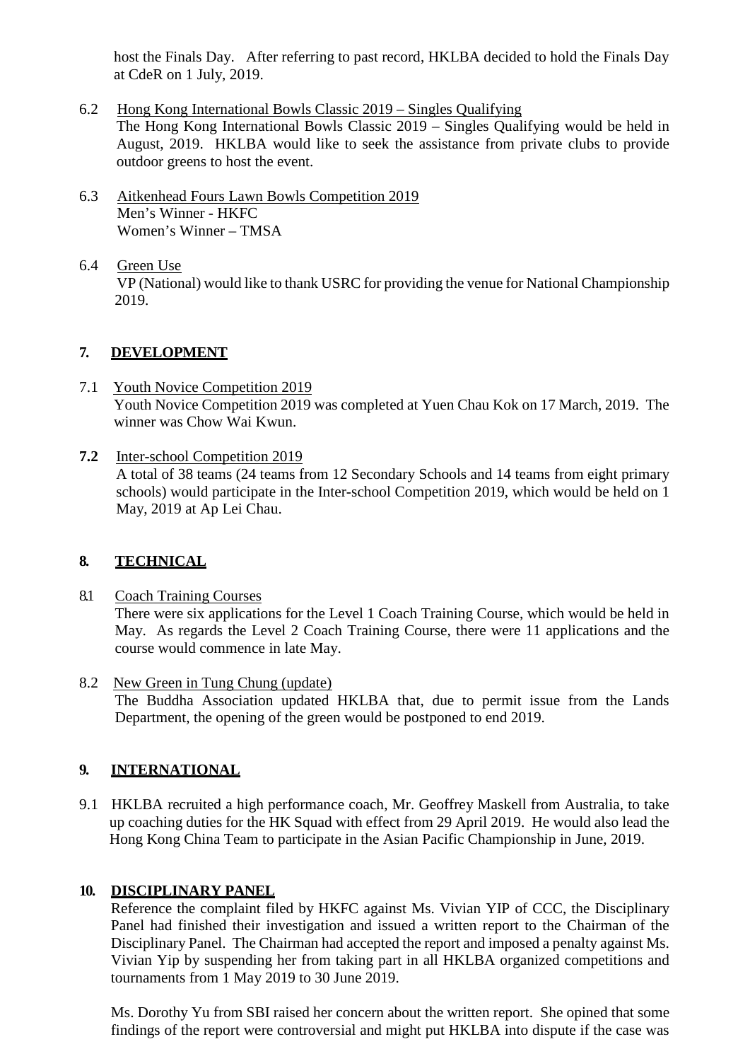host the Finals Day. After referring to past record, HKLBA decided to hold the Finals Day at CdeR on 1 July, 2019.

- 6.2 Hong Kong International Bowls Classic 2019 Singles Qualifying The Hong Kong International Bowls Classic 2019 – Singles Qualifying would be held in August, 2019. HKLBA would like to seek the assistance from private clubs to provide outdoor greens to host the event.
- 6.3 Aitkenhead Fours Lawn Bowls Competition 2019 Men's Winner - HKFC Women's Winner – TMSA
- 6.4 Green Use VP (National) would like to thank USRC for providing the venue for National Championship 2019.

#### **7. DEVELOPMENT**

- 7.1 Youth Novice Competition 2019 Youth Novice Competition 2019 was completed at Yuen Chau Kok on 17 March, 2019. The winner was Chow Wai Kwun.
- **7.2** Inter-school Competition 2019 A total of 38 teams (24 teams from 12 Secondary Schools and 14 teams from eight primary schools) would participate in the Inter-school Competition 2019, which would be held on 1 May, 2019 at Ap Lei Chau.

#### **8. TECHNICAL**

- 8.1 Coach Training Courses There were six applications for the Level 1 Coach Training Course, which would be held in May. As regards the Level 2 Coach Training Course, there were 11 applications and the course would commence in late May.
- 8.2 New Green in Tung Chung (update) The Buddha Association updated HKLBA that, due to permit issue from the Lands Department, the opening of the green would be postponed to end 2019.

### **9. INTERNATIONAL**

9.1 HKLBA recruited a high performance coach, Mr. Geoffrey Maskell from Australia, to take up coaching duties for the HK Squad with effect from 29 April 2019. He would also lead the Hong Kong China Team to participate in the Asian Pacific Championship in June, 2019.

#### **10. DISCIPLINARY PANEL**

Reference the complaint filed by HKFC against Ms. Vivian YIP of CCC, the Disciplinary Panel had finished their investigation and issued a written report to the Chairman of the Disciplinary Panel. The Chairman had accepted the report and imposed a penalty against Ms. Vivian Yip by suspending her from taking part in all HKLBA organized competitions and tournaments from 1 May 2019 to 30 June 2019.

Ms. Dorothy Yu from SBI raised her concern about the written report. She opined that some findings of the report were controversial and might put HKLBA into dispute if the case was